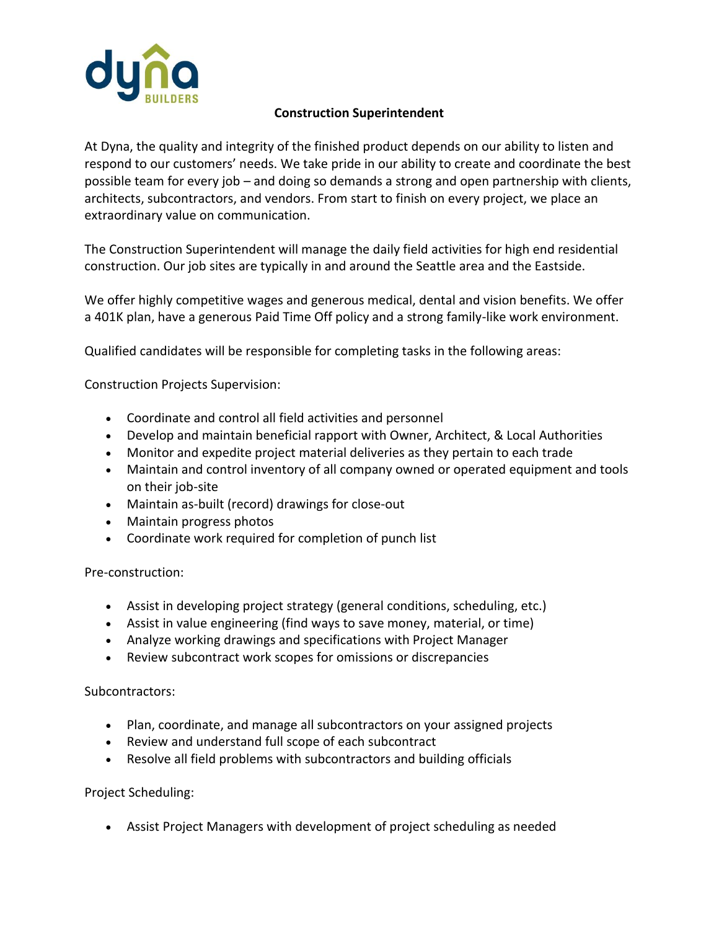

## **Construction Superintendent**

At Dyna, the quality and integrity of the finished product depends on our ability to listen and respond to our customers' needs. We take pride in our ability to create and coordinate the best possible team for every job – and doing so demands a strong and open partnership with clients, architects, subcontractors, and vendors. From start to finish on every project, we place an extraordinary value on communication.

The Construction Superintendent will manage the daily field activities for high end residential construction. Our job sites are typically in and around the Seattle area and the Eastside.

We offer highly competitive wages and generous medical, dental and vision benefits. We offer a 401K plan, have a generous Paid Time Off policy and a strong family-like work environment.

Qualified candidates will be responsible for completing tasks in the following areas:

Construction Projects Supervision:

- Coordinate and control all field activities and personnel
- Develop and maintain beneficial rapport with Owner, Architect, & Local Authorities
- Monitor and expedite project material deliveries as they pertain to each trade
- Maintain and control inventory of all company owned or operated equipment and tools on their job-site
- Maintain as-built (record) drawings for close-out
- Maintain progress photos
- Coordinate work required for completion of punch list

Pre-construction:

- Assist in developing project strategy (general conditions, scheduling, etc.)
- Assist in value engineering (find ways to save money, material, or time)
- Analyze working drawings and specifications with Project Manager
- Review subcontract work scopes for omissions or discrepancies

Subcontractors:

- Plan, coordinate, and manage all subcontractors on your assigned projects
- Review and understand full scope of each subcontract
- Resolve all field problems with subcontractors and building officials

Project Scheduling:

• Assist Project Managers with development of project scheduling as needed